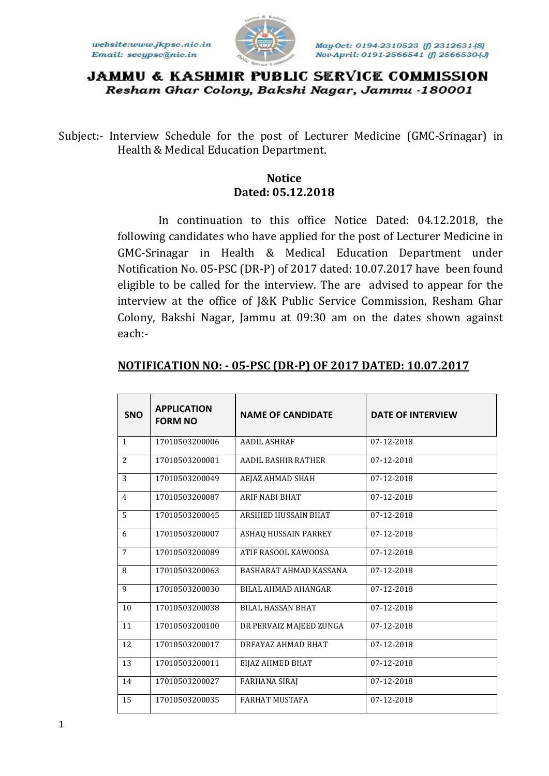website:www.jkpsc.nic.in Email: secypsc@nic.in



# **JAMMU & KASHMIR PUBLIC SERVICE COMMISSION** Resham Ghar Colony, Bakshi Nagar, Jammu -180001

Subject:- Interview Schedule for the post of Lecturer Medicine (GMC-Srinagar) in Health & Medical Education Department.

# **Notice Dated: 05.12.2018**

In continuation to this office Notice Dated: 04.12.2018, the following candidates who have applied for the post of Lecturer Medicine in GMC-Srinagar in Health & Medical Education Department under Notification No. 05-PSC (DR-P) of 2017 dated: 10.07.2017 have been found eligible to be called for the interview. The are advised to appear for the interview at the office of J&K Public Service Commission, Resham Ghar Colony, Bakshi Nagar, Jammu at 09:30 am on the dates shown against each:-

| <b>SNO</b>     | <b>APPLICATION</b><br><b>FORM NO</b> | <b>NAME OF CANDIDATE</b>   | <b>DATE OF INTERVIEW</b> |
|----------------|--------------------------------------|----------------------------|--------------------------|
| $\mathbf{1}$   | 17010503200006                       | <b>AADIL ASHRAF</b>        | 07-12-2018               |
| $\overline{2}$ | 17010503200001                       | <b>AADIL BASHIR RATHER</b> | 07-12-2018               |
| 3              | 17010503200049                       | AEJAZ AHMAD SHAH           | 07-12-2018               |
| $\overline{4}$ | 17010503200087                       | <b>ARIF NABI BHAT</b>      | 07-12-2018               |
| 5              | 17010503200045                       | ARSHIED HUSSAIN BHAT       | 07-12-2018               |
| 6              | 17010503200007                       | ASHAQ HUSSAIN PARREY       | 07-12-2018               |
| $\overline{7}$ | 17010503200089                       | ATIF RASOOL KAWOOSA        | 07-12-2018               |
| 8              | 17010503200063                       | BASHARAT AHMAD KASSANA     | 07-12-2018               |
| 9              | 17010503200030                       | <b>BILAL AHMAD AHANGAR</b> | 07-12-2018               |
| 10             | 17010503200038                       | <b>BILAL HASSAN BHAT</b>   | 07-12-2018               |
| 11             | 17010503200100                       | DR PERVAIZ MAJEED ZUNGA    | 07-12-2018               |
| 12             | 17010503200017                       | DRFAYAZ AHMAD BHAT         | 07-12-2018               |
| 13             | 17010503200011                       | EIJAZ AHMED BHAT           | 07-12-2018               |
| 14             | 17010503200027                       | <b>FARHANA SIRAJ</b>       | 07-12-2018               |
| 15             | 17010503200035                       | <b>FARHAT MUSTAFA</b>      | 07-12-2018               |

### **NOTIFICATION NO: - 05-PSC (DR-P) OF 2017 DATED: 10.07.2017**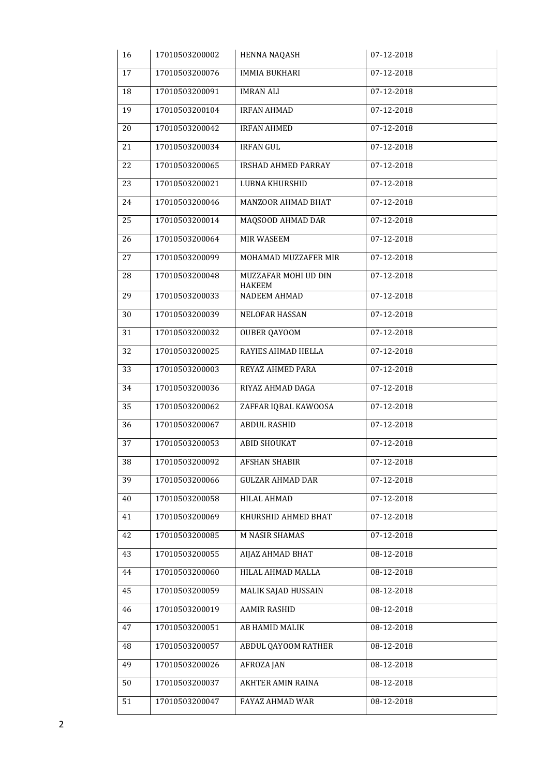| 16 | 17010503200002 | HENNA NAQASH                          | 07-12-2018       |
|----|----------------|---------------------------------------|------------------|
| 17 | 17010503200076 | <b>IMMIA BUKHARI</b>                  | 07-12-2018       |
| 18 | 17010503200091 | <b>IMRAN ALI</b>                      | 07-12-2018       |
| 19 | 17010503200104 | <b>IRFAN AHMAD</b>                    | 07-12-2018       |
| 20 | 17010503200042 | <b>IRFAN AHMED</b>                    | 07-12-2018       |
| 21 | 17010503200034 | <b>IRFAN GUL</b>                      | 07-12-2018       |
| 22 | 17010503200065 | IRSHAD AHMED PARRAY                   | 07-12-2018       |
| 23 | 17010503200021 | LUBNA KHURSHID                        | $07 - 12 - 2018$ |
| 24 | 17010503200046 | MANZOOR AHMAD BHAT                    | 07-12-2018       |
| 25 | 17010503200014 | MAQSOOD AHMAD DAR                     | 07-12-2018       |
| 26 | 17010503200064 | <b>MIR WASEEM</b>                     | $07 - 12 - 2018$ |
| 27 | 17010503200099 | MOHAMAD MUZZAFER MIR                  | 07-12-2018       |
| 28 | 17010503200048 | MUZZAFAR MOHI UD DIN<br><b>HAKEEM</b> | 07-12-2018       |
| 29 | 17010503200033 | NADEEM AHMAD                          | 07-12-2018       |
| 30 | 17010503200039 | <b>NELOFAR HASSAN</b>                 | 07-12-2018       |
| 31 | 17010503200032 | <b>OUBER QAYOOM</b>                   | 07-12-2018       |
| 32 | 17010503200025 | RAYIES AHMAD HELLA                    | 07-12-2018       |
| 33 | 17010503200003 | REYAZ AHMED PARA                      | 07-12-2018       |
| 34 | 17010503200036 | RIYAZ AHMAD DAGA                      | 07-12-2018       |
| 35 | 17010503200062 | ZAFFAR IQBAL KAWOOSA                  | 07-12-2018       |
| 36 | 17010503200067 | <b>ABDUL RASHID</b>                   | 07-12-2018       |
| 37 | 17010503200053 | ABID SHOUKAT                          | 07-12-2018       |
| 38 | 17010503200092 | <b>AFSHAN SHABIR</b>                  | 07-12-2018       |
| 39 | 17010503200066 | <b>GULZAR AHMAD DAR</b>               | 07-12-2018       |
| 40 | 17010503200058 | HILAL AHMAD                           | 07-12-2018       |
| 41 | 17010503200069 | KHURSHID AHMED BHAT                   | 07-12-2018       |
| 42 | 17010503200085 | M NASIR SHAMAS                        | 07-12-2018       |
| 43 | 17010503200055 | AIJAZ AHMAD BHAT                      | 08-12-2018       |
| 44 | 17010503200060 | HILAL AHMAD MALLA                     | 08-12-2018       |
| 45 | 17010503200059 | MALIK SAJAD HUSSAIN                   | 08-12-2018       |
| 46 | 17010503200019 | <b>AAMIR RASHID</b>                   | 08-12-2018       |
| 47 | 17010503200051 | AB HAMID MALIK                        | 08-12-2018       |
| 48 | 17010503200057 | ABDUL QAYOOM RATHER                   | 08-12-2018       |
| 49 | 17010503200026 | <b>AFROZAJAN</b>                      | 08-12-2018       |
| 50 | 17010503200037 | AKHTER AMIN RAINA                     | 08-12-2018       |
| 51 | 17010503200047 | FAYAZ AHMAD WAR                       | 08-12-2018       |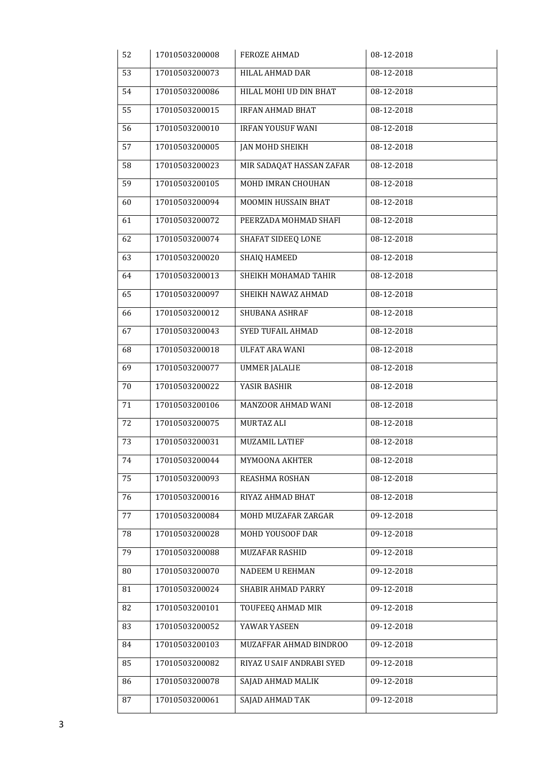| 52     | 17010503200008 | <b>FEROZE AHMAD</b>       | 08-12-2018 |
|--------|----------------|---------------------------|------------|
| 53     | 17010503200073 | HILAL AHMAD DAR           | 08-12-2018 |
| 54     | 17010503200086 | HILAL MOHI UD DIN BHAT    | 08-12-2018 |
| 55     | 17010503200015 | <b>IRFAN AHMAD BHAT</b>   | 08-12-2018 |
| 56     | 17010503200010 | <b>IRFAN YOUSUF WANI</b>  | 08-12-2018 |
| 57     | 17010503200005 | <b>JAN MOHD SHEIKH</b>    | 08-12-2018 |
| 58     | 17010503200023 | MIR SADAQAT HASSAN ZAFAR  | 08-12-2018 |
| 59     | 17010503200105 | MOHD IMRAN CHOUHAN        | 08-12-2018 |
| 60     | 17010503200094 | MOOMIN HUSSAIN BHAT       | 08-12-2018 |
| 61     | 17010503200072 | PEERZADA MOHMAD SHAFI     | 08-12-2018 |
| 62     | 17010503200074 | SHAFAT SIDEEQ LONE        | 08-12-2018 |
| 63     | 17010503200020 | <b>SHAIQ HAMEED</b>       | 08-12-2018 |
| 64     | 17010503200013 | SHEIKH MOHAMAD TAHIR      | 08-12-2018 |
| 65     | 17010503200097 | SHEIKH NAWAZ AHMAD        | 08-12-2018 |
| 66     | 17010503200012 | SHUBANA ASHRAF            | 08-12-2018 |
| 67     | 17010503200043 | <b>SYED TUFAIL AHMAD</b>  | 08-12-2018 |
| 68     | 17010503200018 | <b>ULFAT ARA WANI</b>     | 08-12-2018 |
| 69     | 17010503200077 | <b>UMMER JALALIE</b>      | 08-12-2018 |
| $70\,$ | 17010503200022 | YASIR BASHIR              | 08-12-2018 |
| 71     | 17010503200106 | MANZOOR AHMAD WANI        | 08-12-2018 |
| 72     | 17010503200075 | <b>MURTAZ ALI</b>         | 08-12-2018 |
| 73     | 17010503200031 | <b>MUZAMIL LATIEF</b>     | 08-12-2018 |
| 74     | 17010503200044 | MYMOONA AKHTER            | 08-12-2018 |
| 75     | 17010503200093 | REASHMA ROSHAN            | 08-12-2018 |
| 76     | 17010503200016 | RIYAZ AHMAD BHAT          | 08-12-2018 |
| 77     | 17010503200084 | MOHD MUZAFAR ZARGAR       | 09-12-2018 |
| 78     | 17010503200028 | MOHD YOUSOOF DAR          | 09-12-2018 |
| 79     | 17010503200088 | MUZAFAR RASHID            | 09-12-2018 |
| 80     | 17010503200070 | NADEEM U REHMAN           | 09-12-2018 |
| 81     | 17010503200024 | SHABIR AHMAD PARRY        | 09-12-2018 |
| 82     | 17010503200101 | TOUFEEQ AHMAD MIR         | 09-12-2018 |
| 83     | 17010503200052 | YAWAR YASEEN              | 09-12-2018 |
| 84     | 17010503200103 | MUZAFFAR AHMAD BINDROO    | 09-12-2018 |
| 85     | 17010503200082 | RIYAZ U SAIF ANDRABI SYED | 09-12-2018 |
| 86     | 17010503200078 | SAJAD AHMAD MALIK         | 09-12-2018 |
| 87     | 17010503200061 | SAJAD AHMAD TAK           | 09-12-2018 |